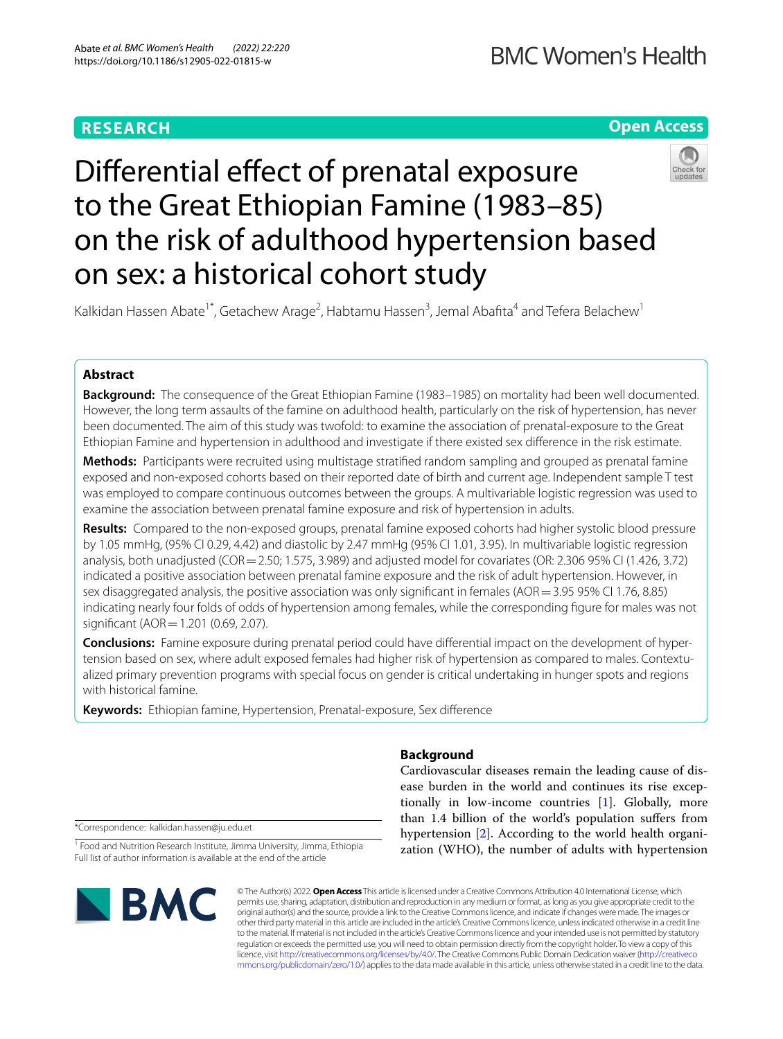# **RESEARCH**

# **Open Access**



Kalkidan Hassen Abate<sup>1\*</sup>, Getachew Arage<sup>2</sup>, Habtamu Hassen<sup>3</sup>, Jemal Abafita<sup>4</sup> and Tefera Belachew<sup>1</sup>

## **Abstract**

**Background:** The consequence of the Great Ethiopian Famine (1983–1985) on mortality had been well documented. However, the long term assaults of the famine on adulthood health, particularly on the risk of hypertension, has never been documented. The aim of this study was twofold: to examine the association of prenatal-exposure to the Great Ethiopian Famine and hypertension in adulthood and investigate if there existed sex diference in the risk estimate.

**Methods:** Participants were recruited using multistage stratifed random sampling and grouped as prenatal famine exposed and non-exposed cohorts based on their reported date of birth and current age. Independent sample T test was employed to compare continuous outcomes between the groups. A multivariable logistic regression was used to examine the association between prenatal famine exposure and risk of hypertension in adults.

**Results:** Compared to the non-exposed groups, prenatal famine exposed cohorts had higher systolic blood pressure by 1.05 mmHg, (95% CI 0.29, 4.42) and diastolic by 2.47 mmHg (95% CI 1.01, 3.95). In multivariable logistic regression analysis, both unadjusted (COR=2.50; 1.575, 3.989) and adjusted model for covariates (OR: 2.306 95% CI (1.426, 3.72) indicated a positive association between prenatal famine exposure and the risk of adult hypertension. However, in sex disaggregated analysis, the positive association was only signifcant in females (AOR=3.95 95% CI 1.76, 8.85) indicating nearly four folds of odds of hypertension among females, while the corresponding fgure for males was not significant (AOR = 1.201 (0.69, 2.07).

**Conclusions:** Famine exposure during prenatal period could have diferential impact on the development of hypertension based on sex, where adult exposed females had higher risk of hypertension as compared to males. Contextualized primary prevention programs with special focus on gender is critical undertaking in hunger spots and regions with historical famine.

**Keywords:** Ethiopian famine, Hypertension, Prenatal-exposure, Sex diference

## **Background**

Cardiovascular diseases remain the leading cause of disease burden in the world and continues its rise exceptionally in low-income countries [\[1](#page-5-0)]. Globally, more than 1.4 billion of the world's population sufers from hypertension [\[2](#page-5-1)]. According to the world health organization (WHO), the number of adults with hypertension

\*Correspondence: kalkidan.hassen@ju.edu.et

<sup>1</sup> Food and Nutrition Research Institute, Jimma University, Jimma, Ethiopia Full list of author information is available at the end of the article



© The Author(s) 2022. **Open Access** This article is licensed under a Creative Commons Attribution 4.0 International License, which permits use, sharing, adaptation, distribution and reproduction in any medium or format, as long as you give appropriate credit to the original author(s) and the source, provide a link to the Creative Commons licence, and indicate if changes were made. The images or other third party material in this article are included in the article's Creative Commons licence, unless indicated otherwise in a credit line to the material. If material is not included in the article's Creative Commons licence and your intended use is not permitted by statutory regulation or exceeds the permitted use, you will need to obtain permission directly from the copyright holder. To view a copy of this licence, visit [http://creativecommons.org/licenses/by/4.0/.](http://creativecommons.org/licenses/by/4.0/) The Creative Commons Public Domain Dedication waiver ([http://creativeco](http://creativecommons.org/publicdomain/zero/1.0/) [mmons.org/publicdomain/zero/1.0/](http://creativecommons.org/publicdomain/zero/1.0/)) applies to the data made available in this article, unless otherwise stated in a credit line to the data.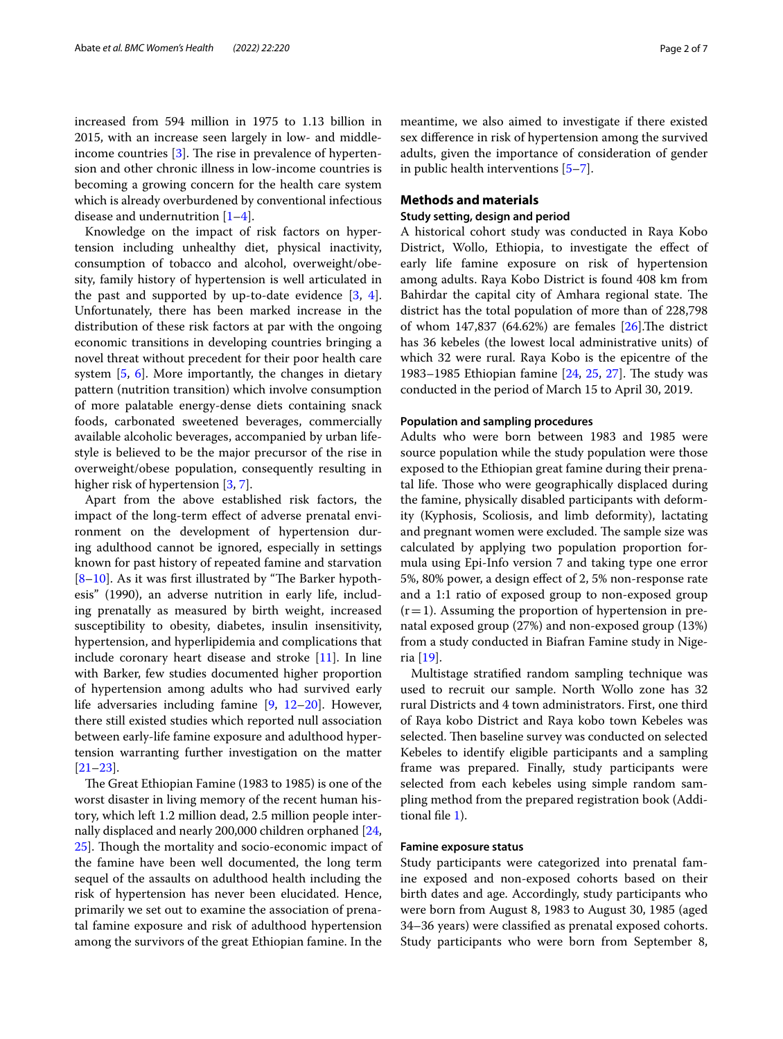increased from 594 million in 1975 to 1.13 billion in 2015, with an increase seen largely in low- and middleincome countries  $[3]$  $[3]$ . The rise in prevalence of hypertension and other chronic illness in low-income countries is becoming a growing concern for the health care system which is already overburdened by conventional infectious disease and undernutrition [\[1](#page-5-0)[–4](#page-5-3)].

Knowledge on the impact of risk factors on hypertension including unhealthy diet, physical inactivity, consumption of tobacco and alcohol, overweight/obesity, family history of hypertension is well articulated in the past and supported by up-to-date evidence [\[3](#page-5-2), [4](#page-5-3)]. Unfortunately, there has been marked increase in the distribution of these risk factors at par with the ongoing economic transitions in developing countries bringing a novel threat without precedent for their poor health care system [[5,](#page-5-4) [6](#page-5-5)]. More importantly, the changes in dietary pattern (nutrition transition) which involve consumption of more palatable energy-dense diets containing snack foods, carbonated sweetened beverages, commercially available alcoholic beverages, accompanied by urban lifestyle is believed to be the major precursor of the rise in overweight/obese population, consequently resulting in higher risk of hypertension [\[3](#page-5-2), [7\]](#page-5-6).

Apart from the above established risk factors, the impact of the long-term efect of adverse prenatal environment on the development of hypertension during adulthood cannot be ignored, especially in settings known for past history of repeated famine and starvation  $[8-10]$  $[8-10]$ . As it was first illustrated by "The Barker hypothesis" (1990), an adverse nutrition in early life, including prenatally as measured by birth weight, increased susceptibility to obesity, diabetes, insulin insensitivity, hypertension, and hyperlipidemia and complications that include coronary heart disease and stroke [\[11\]](#page-5-9). In line with Barker, few studies documented higher proportion of hypertension among adults who had survived early life adversaries including famine [\[9](#page-5-10), [12–](#page-5-11)[20\]](#page-5-12). However, there still existed studies which reported null association between early-life famine exposure and adulthood hypertension warranting further investigation on the matter [[21–](#page-5-13)[23](#page-5-14)].

The Great Ethiopian Famine (1983 to 1985) is one of the worst disaster in living memory of the recent human history, which left 1.2 million dead, 2.5 million people internally displaced and nearly 200,000 children orphaned [\[24](#page-6-0), 25. Though the mortality and socio-economic impact of the famine have been well documented, the long term sequel of the assaults on adulthood health including the risk of hypertension has never been elucidated. Hence, primarily we set out to examine the association of prenatal famine exposure and risk of adulthood hypertension among the survivors of the great Ethiopian famine. In the meantime, we also aimed to investigate if there existed sex diference in risk of hypertension among the survived adults, given the importance of consideration of gender in public health interventions  $[5-7]$  $[5-7]$  $[5-7]$ .

## **Methods and materials**

## **Study setting, design and period**

A historical cohort study was conducted in Raya Kobo District, Wollo, Ethiopia, to investigate the efect of early life famine exposure on risk of hypertension among adults. Raya Kobo District is found 408 km from Bahirdar the capital city of Amhara regional state. The district has the total population of more than of 228,798 of whom  $147,837$  (64.62%) are females [\[26](#page-6-2)]. The district has 36 kebeles (the lowest local administrative units) of which 32 were rural. Raya Kobo is the epicentre of the 1983–1985 Ethiopian famine  $[24, 25, 27]$  $[24, 25, 27]$  $[24, 25, 27]$  $[24, 25, 27]$  $[24, 25, 27]$  $[24, 25, 27]$ . The study was conducted in the period of March 15 to April 30, 2019.

#### **Population and sampling procedures**

Adults who were born between 1983 and 1985 were source population while the study population were those exposed to the Ethiopian great famine during their prenatal life. Those who were geographically displaced during the famine, physically disabled participants with deformity (Kyphosis, Scoliosis, and limb deformity), lactating and pregnant women were excluded. The sample size was calculated by applying two population proportion formula using Epi-Info version 7 and taking type one error 5%, 80% power, a design efect of 2, 5% non-response rate and a 1:1 ratio of exposed group to non-exposed group  $(r=1)$ . Assuming the proportion of hypertension in prenatal exposed group (27%) and non-exposed group (13%) from a study conducted in Biafran Famine study in Nigeria [\[19](#page-5-15)].

Multistage stratifed random sampling technique was used to recruit our sample. North Wollo zone has 32 rural Districts and 4 town administrators. First, one third of Raya kobo District and Raya kobo town Kebeles was selected. Then baseline survey was conducted on selected Kebeles to identify eligible participants and a sampling frame was prepared. Finally, study participants were selected from each kebeles using simple random sampling method from the prepared registration book (Additional fle [1](#page-5-16)).

#### **Famine exposure status**

Study participants were categorized into prenatal famine exposed and non-exposed cohorts based on their birth dates and age. Accordingly, study participants who were born from August 8, 1983 to August 30, 1985 (aged 34–36 years) were classifed as prenatal exposed cohorts. Study participants who were born from September 8,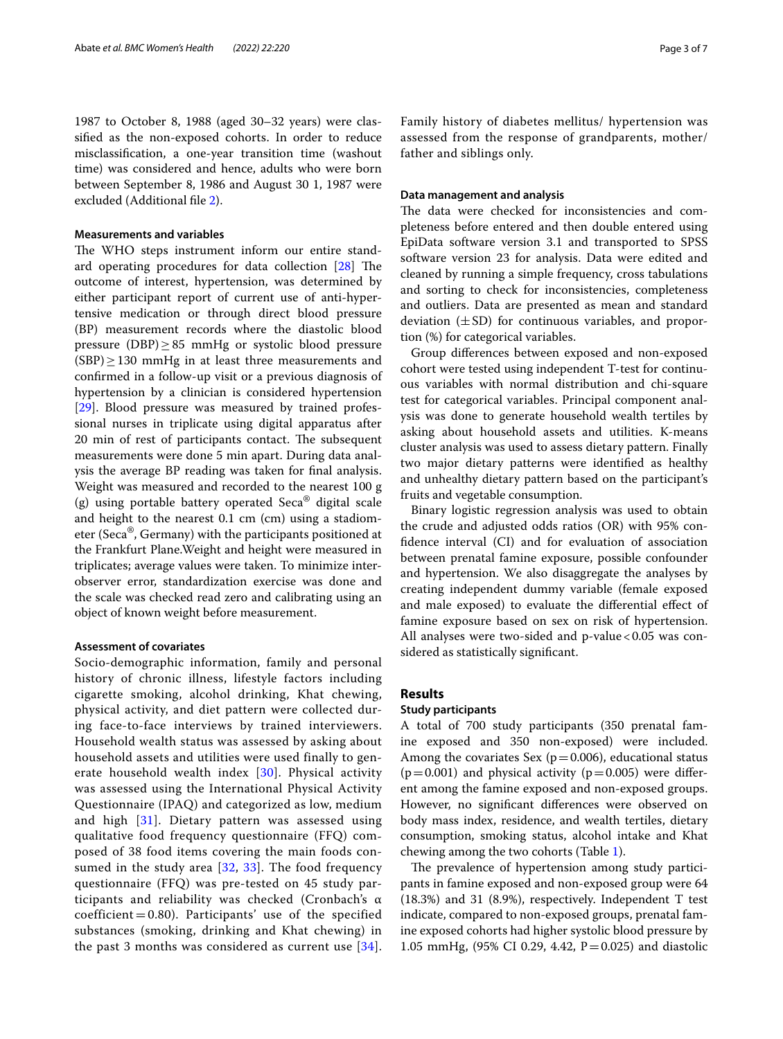1987 to October 8, 1988 (aged 30–32 years) were classifed as the non-exposed cohorts. In order to reduce misclassifcation, a one-year transition time (washout time) was considered and hence, adults who were born between September 8, 1986 and August 30 1, 1987 were excluded (Additional fle [2](#page-5-17)).

#### **Measurements and variables**

The WHO steps instrument inform our entire standard operating procedures for data collection  $[28]$  $[28]$  The outcome of interest, hypertension, was determined by either participant report of current use of anti-hypertensive medication or through direct blood pressure (BP) measurement records where the diastolic blood pressure (DBP) $\geq$ 85 mmHg or systolic blood pressure  $(SBP) \geq 130$  mmHg in at least three measurements and confrmed in a follow-up visit or a previous diagnosis of hypertension by a clinician is considered hypertension [[29\]](#page-6-5). Blood pressure was measured by trained professional nurses in triplicate using digital apparatus after 20 min of rest of participants contact. The subsequent measurements were done 5 min apart. During data analysis the average BP reading was taken for fnal analysis. Weight was measured and recorded to the nearest 100 g (g) using portable battery operated Seca<sup>®</sup> digital scale and height to the nearest 0.1 cm (cm) using a stadiometer (Seca®, Germany) with the participants positioned at the Frankfurt Plane.Weight and height were measured in triplicates; average values were taken. To minimize interobserver error, standardization exercise was done and the scale was checked read zero and calibrating using an object of known weight before measurement.

#### **Assessment of covariates**

Socio-demographic information, family and personal history of chronic illness, lifestyle factors including cigarette smoking, alcohol drinking, Khat chewing, physical activity, and diet pattern were collected during face-to-face interviews by trained interviewers. Household wealth status was assessed by asking about household assets and utilities were used finally to generate household wealth index [[30](#page-6-6)]. Physical activity was assessed using the International Physical Activity Questionnaire (IPAQ) and categorized as low, medium and high  $[31]$  $[31]$  $[31]$ . Dietary pattern was assessed using qualitative food frequency questionnaire (FFQ) composed of 38 food items covering the main foods consumed in the study area  $[32, 33]$  $[32, 33]$  $[32, 33]$  $[32, 33]$  $[32, 33]$ . The food frequency questionnaire (FFQ) was pre-tested on 45 study participants and reliability was checked (Cronbach's α  $coefficient = 0.80$ . Participants' use of the specified substances (smoking, drinking and Khat chewing) in the past 3 months was considered as current use [[34\]](#page-6-10). Family history of diabetes mellitus/ hypertension was assessed from the response of grandparents, mother/ father and siblings only.

#### **Data management and analysis**

The data were checked for inconsistencies and completeness before entered and then double entered using EpiData software version 3.1 and transported to SPSS software version 23 for analysis. Data were edited and cleaned by running a simple frequency, cross tabulations and sorting to check for inconsistencies, completeness and outliers. Data are presented as mean and standard deviation  $(\pm SD)$  for continuous variables, and proportion (%) for categorical variables.

Group diferences between exposed and non-exposed cohort were tested using independent T-test for continuous variables with normal distribution and chi-square test for categorical variables. Principal component analysis was done to generate household wealth tertiles by asking about household assets and utilities. K-means cluster analysis was used to assess dietary pattern. Finally two major dietary patterns were identifed as healthy and unhealthy dietary pattern based on the participant's fruits and vegetable consumption.

Binary logistic regression analysis was used to obtain the crude and adjusted odds ratios (OR) with 95% confdence interval (CI) and for evaluation of association between prenatal famine exposure, possible confounder and hypertension. We also disaggregate the analyses by creating independent dummy variable (female exposed and male exposed) to evaluate the diferential efect of famine exposure based on sex on risk of hypertension. All analyses were two-sided and  $p$ -value < 0.05 was considered as statistically signifcant.

## **Results**

#### **Study participants**

A total of 700 study participants (350 prenatal famine exposed and 350 non-exposed) were included. Among the covariates Sex ( $p=0.006$ ), educational status  $(p=0.001)$  and physical activity  $(p=0.005)$  were different among the famine exposed and non-exposed groups. However, no signifcant diferences were observed on body mass index, residence, and wealth tertiles, dietary consumption, smoking status, alcohol intake and Khat chewing among the two cohorts (Table [1\)](#page-3-0).

The prevalence of hypertension among study participants in famine exposed and non-exposed group were 64 (18.3%) and 31 (8.9%), respectively. Independent T test indicate, compared to non-exposed groups, prenatal famine exposed cohorts had higher systolic blood pressure by 1.05 mmHg, (95% CI 0.29, 4.42, P=0.025) and diastolic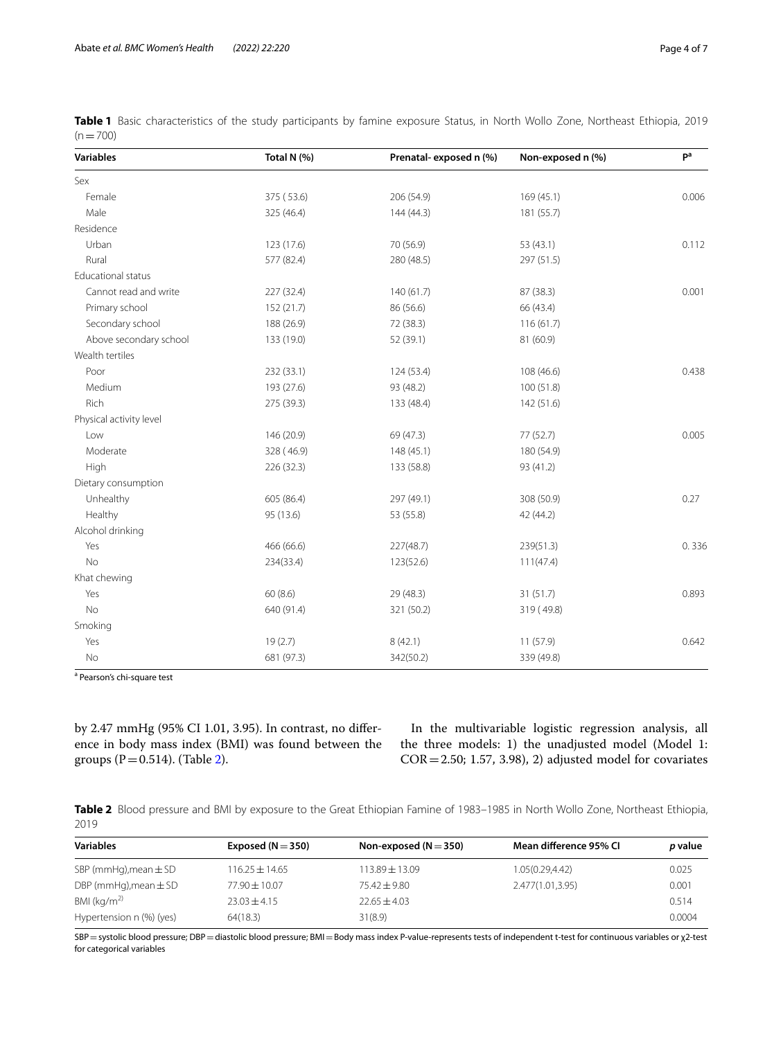| <b>Variables</b>          | Total N (%) | Prenatal-exposed n (%) | Non-exposed n (%) | pa    |
|---------------------------|-------------|------------------------|-------------------|-------|
| Sex                       |             |                        |                   |       |
| Female                    | 375 (53.6)  | 206 (54.9)             | 169(45.1)         | 0.006 |
| Male                      | 325 (46.4)  | 144 (44.3)             | 181 (55.7)        |       |
| Residence                 |             |                        |                   |       |
| Urban                     | 123 (17.6)  | 70 (56.9)              | 53 (43.1)         | 0.112 |
| Rural                     | 577 (82.4)  | 280 (48.5)             | 297 (51.5)        |       |
| <b>Educational status</b> |             |                        |                   |       |
| Cannot read and write     | 227 (32.4)  | 140(61.7)              | 87 (38.3)         | 0.001 |
| Primary school            | 152 (21.7)  | 86 (56.6)              | 66 (43.4)         |       |
| Secondary school          | 188 (26.9)  | 72 (38.3)              | 116(61.7)         |       |
| Above secondary school    | 133 (19.0)  | 52 (39.1)              | 81 (60.9)         |       |
| Wealth tertiles           |             |                        |                   |       |
| Poor                      | 232 (33.1)  | 124 (53.4)             | 108 (46.6)        | 0.438 |
| Medium                    | 193 (27.6)  | 93 (48.2)              | 100 (51.8)        |       |
| Rich                      | 275 (39.3)  | 133 (48.4)             | 142 (51.6)        |       |
| Physical activity level   |             |                        |                   |       |
| Low                       | 146 (20.9)  | 69 (47.3)              | 77 (52.7)         | 0.005 |
| Moderate                  | 328 (46.9)  | 148 (45.1)             | 180 (54.9)        |       |
| High                      | 226 (32.3)  | 133 (58.8)             | 93 (41.2)         |       |
| Dietary consumption       |             |                        |                   |       |
| Unhealthy                 | 605 (86.4)  | 297 (49.1)             | 308 (50.9)        | 0.27  |
| Healthy                   | 95 (13.6)   | 53 (55.8)              | 42 (44.2)         |       |
| Alcohol drinking          |             |                        |                   |       |
| Yes                       | 466 (66.6)  | 227(48.7)              | 239(51.3)         | 0.336 |
| No                        | 234(33.4)   | 123(52.6)              | 111(47.4)         |       |
| Khat chewing              |             |                        |                   |       |
| Yes                       | 60(8.6)     | 29 (48.3)              | 31(51.7)          | 0.893 |
| <b>No</b>                 | 640 (91.4)  | 321 (50.2)             | 319 (49.8)        |       |
| Smoking                   |             |                        |                   |       |
| Yes                       | 19(2.7)     | 8(42.1)                | 11(57.9)          | 0.642 |
| No                        | 681 (97.3)  | 342(50.2)              | 339 (49.8)        |       |

<span id="page-3-0"></span>**Table 1** Basic characteristics of the study participants by famine exposure Status, in North Wollo Zone, Northeast Ethiopia, 2019  $(n=700)$ 

<sup>a</sup> Pearson's chi-square test

by 2.47 mmHg (95% CI 1.01, 3.95). In contrast, no diference in body mass index (BMI) was found between the groups ( $P = 0.514$ ). (Table [2](#page-3-1)).

In the multivariable logistic regression analysis, all the three models: 1) the unadjusted model (Model 1:  $COR = 2.50; 1.57, 3.98, 2)$  adjusted model for covariates

<span id="page-3-1"></span>**Table 2** Blood pressure and BMI by exposure to the Great Ethiopian Famine of 1983–1985 in North Wollo Zone, Northeast Ethiopia, 2019

| <b>Variables</b>          | Exposed $(N = 350)$ | Non-exposed $(N = 350)$ | Mean difference 95% CI | p value |
|---------------------------|---------------------|-------------------------|------------------------|---------|
| SBP (mmHg), mean $\pm$ SD | $116.25 \pm 14.65$  | $113.89 \pm 13.09$      | 1.05(0.29,4.42)        | 0.025   |
| DBP (mmHg), mean $\pm$ SD | $77.90 \pm 10.07$   | $75.42 \pm 9.80$        | 2.477(1.01.3.95)       | 0.001   |
| BMI ( $kg/m2$ )           | $23.03 + 4.15$      | $22.65 \pm 4.03$        |                        | 0.514   |
| Hypertension n (%) (yes)  | 64(18.3)            | 31(8.9)                 |                        | 0.0004  |

SBP=systolic blood pressure; DBP=diastolic blood pressure; BMI=Body mass index P-value-represents tests of independent t-test for continuous variables or χ2-test for categorical variables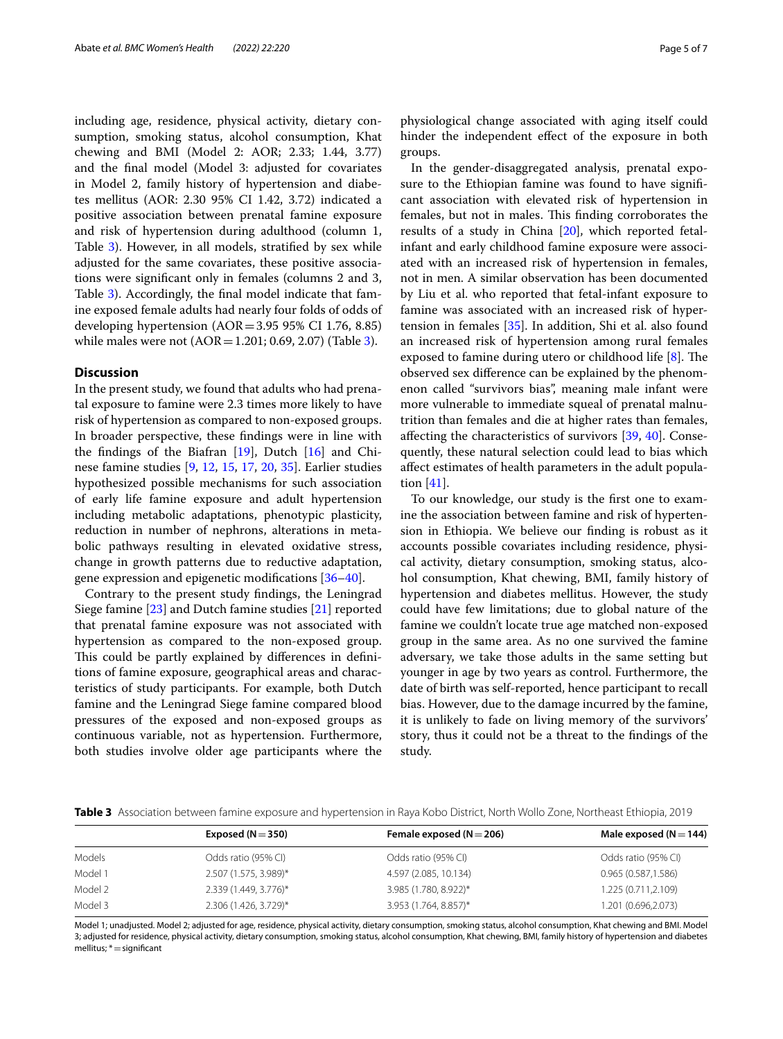including age, residence, physical activity, dietary consumption, smoking status, alcohol consumption, Khat chewing and BMI (Model 2: AOR; 2.33; 1.44, 3.77) and the fnal model (Model 3: adjusted for covariates in Model 2, family history of hypertension and diabetes mellitus (AOR: 2.30 95% CI 1.42, 3.72) indicated a positive association between prenatal famine exposure and risk of hypertension during adulthood (column 1, Table [3](#page-4-0)). However, in all models, stratifed by sex while adjusted for the same covariates, these positive associations were signifcant only in females (columns 2 and 3, Table [3\)](#page-4-0). Accordingly, the fnal model indicate that famine exposed female adults had nearly four folds of odds of developing hypertension  $(AOR = 3.95 95\% \text{ CI } 1.76, 8.85)$ while males were not  $(AOR = 1.201; 0.69, 2.07)$  (Table [3\)](#page-4-0).

## **Discussion**

In the present study, we found that adults who had prenatal exposure to famine were 2.3 times more likely to have risk of hypertension as compared to non-exposed groups. In broader perspective, these fndings were in line with the fndings of the Biafran [[19](#page-5-15)], Dutch [\[16](#page-5-18)] and Chinese famine studies [[9,](#page-5-10) [12,](#page-5-11) [15,](#page-5-19) [17,](#page-5-20) [20,](#page-5-12) [35\]](#page-6-11). Earlier studies hypothesized possible mechanisms for such association of early life famine exposure and adult hypertension including metabolic adaptations, phenotypic plasticity, reduction in number of nephrons, alterations in metabolic pathways resulting in elevated oxidative stress, change in growth patterns due to reductive adaptation, gene expression and epigenetic modifcations [[36–](#page-6-12)[40\]](#page-6-13).

Contrary to the present study fndings, the Leningrad Siege famine [\[23\]](#page-5-14) and Dutch famine studies [[21](#page-5-13)] reported that prenatal famine exposure was not associated with hypertension as compared to the non-exposed group. This could be partly explained by differences in definitions of famine exposure, geographical areas and characteristics of study participants. For example, both Dutch famine and the Leningrad Siege famine compared blood pressures of the exposed and non-exposed groups as continuous variable, not as hypertension. Furthermore, both studies involve older age participants where the physiological change associated with aging itself could hinder the independent efect of the exposure in both groups.

In the gender-disaggregated analysis, prenatal exposure to the Ethiopian famine was found to have signifcant association with elevated risk of hypertension in females, but not in males. This finding corroborates the results of a study in China [[20](#page-5-12)], which reported fetalinfant and early childhood famine exposure were associated with an increased risk of hypertension in females, not in men. A similar observation has been documented by Liu et al. who reported that fetal-infant exposure to famine was associated with an increased risk of hypertension in females [\[35](#page-6-11)]. In addition, Shi et al. also found an increased risk of hypertension among rural females exposed to famine during utero or childhood life  $[8]$  $[8]$ . The observed sex diference can be explained by the phenomenon called "survivors bias", meaning male infant were more vulnerable to immediate squeal of prenatal malnutrition than females and die at higher rates than females, afecting the characteristics of survivors [\[39,](#page-6-14) [40\]](#page-6-13). Consequently, these natural selection could lead to bias which afect estimates of health parameters in the adult population [[41\]](#page-6-15).

To our knowledge, our study is the frst one to examine the association between famine and risk of hypertension in Ethiopia. We believe our fnding is robust as it accounts possible covariates including residence, physical activity, dietary consumption, smoking status, alcohol consumption, Khat chewing, BMI, family history of hypertension and diabetes mellitus. However, the study could have few limitations; due to global nature of the famine we couldn't locate true age matched non-exposed group in the same area. As no one survived the famine adversary, we take those adults in the same setting but younger in age by two years as control. Furthermore, the date of birth was self-reported, hence participant to recall bias. However, due to the damage incurred by the famine, it is unlikely to fade on living memory of the survivors' story, thus it could not be a threat to the fndings of the study.

<span id="page-4-0"></span>**Table 3** Association between famine exposure and hypertension in Raya Kobo District, North Wollo Zone, Northeast Ethiopia, 2019

|         | Exposed ( $N = 350$ ) | Female exposed ( $N = 206$ ) | Male exposed ( $N = 144$ ) |
|---------|-----------------------|------------------------------|----------------------------|
| Models  | Odds ratio (95% CI)   | Odds ratio (95% CI)          | Odds ratio (95% CI)        |
| Model 1 | 2.507 (1.575, 3.989)* | 4.597 (2.085, 10.134)        | 0.965(0.587,1.586)         |
| Model 2 | 2.339 (1.449, 3.776)* | 3.985 (1.780, 8.922)*        | 1.225 (0.711,2.109)        |
| Model 3 | 2.306 (1.426, 3.729)* | 3.953 (1.764, 8.857)*        | 1.201 (0.696,2.073)        |
|         |                       |                              |                            |

Model 1; unadjusted. Model 2; adjusted for age, residence, physical activity, dietary consumption, smoking status, alcohol consumption, Khat chewing and BMI. Model 3; adjusted for residence, physical activity, dietary consumption, smoking status, alcohol consumption, Khat chewing, BMI, family history of hypertension and diabetes mellitus; \*=signifcant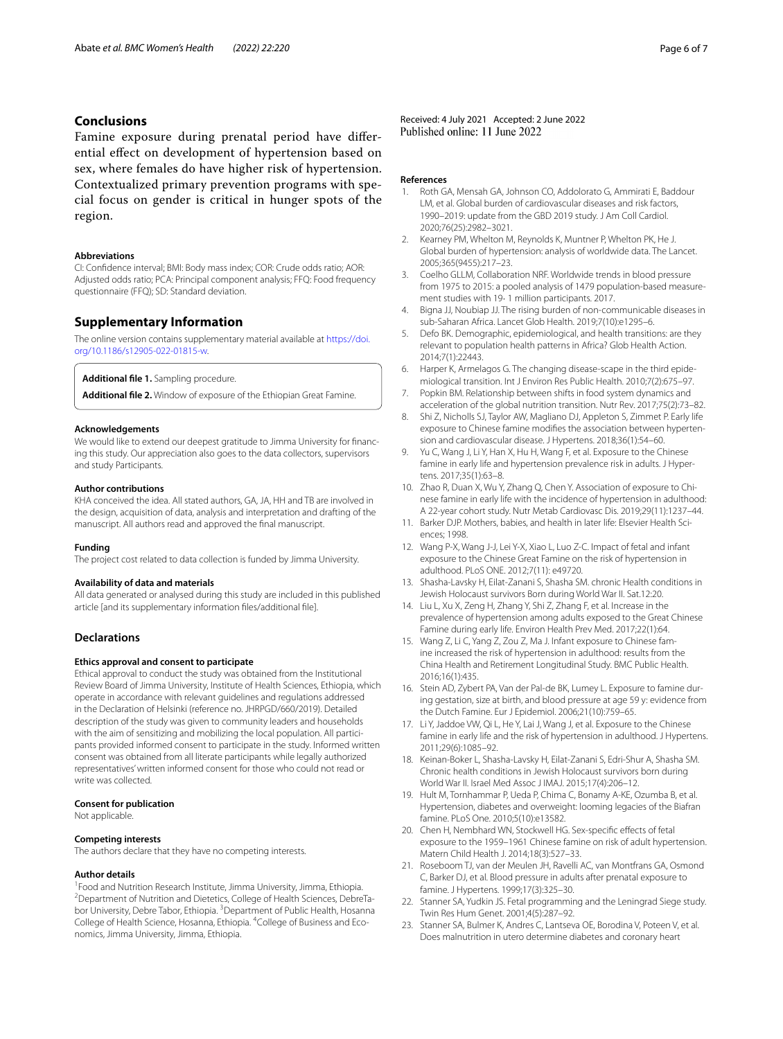## **Conclusions**

Famine exposure during prenatal period have diferential efect on development of hypertension based on sex, where females do have higher risk of hypertension. Contextualized primary prevention programs with special focus on gender is critical in hunger spots of the region.

#### **Abbreviations**

CI: Confdence interval; BMI: Body mass index; COR: Crude odds ratio; AOR: Adjusted odds ratio; PCA: Principal component analysis; FFQ: Food frequency questionnaire (FFQ); SD: Standard deviation.

#### **Supplementary Information**

The online version contains supplementary material available at [https://doi.](https://doi.org/10.1186/s12905-022-01815-w) [org/10.1186/s12905-022-01815-w.](https://doi.org/10.1186/s12905-022-01815-w)

<span id="page-5-17"></span><span id="page-5-16"></span>**Additional fle 1.** Sampling procedure.

**Additional fle 2.** Window of exposure of the Ethiopian Great Famine.

#### **Acknowledgements**

We would like to extend our deepest gratitude to Jimma University for fnancing this study. Our appreciation also goes to the data collectors, supervisors and study Participants.

#### **Author contributions**

KHA conceived the idea. All stated authors, GA, JA, HH and TB are involved in the design, acquisition of data, analysis and interpretation and drafting of the manuscript. All authors read and approved the fnal manuscript.

#### **Funding**

The project cost related to data collection is funded by Jimma University.

### **Availability of data and materials**

All data generated or analysed during this study are included in this published article [and its supplementary information fles/additional fle].

## **Declarations**

### **Ethics approval and consent to participate**

Ethical approval to conduct the study was obtained from the Institutional Review Board of Jimma University, Institute of Health Sciences, Ethiopia, which operate in accordance with relevant guidelines and regulations addressed in the Declaration of Helsinki (reference no. JHRPGD/660/2019). Detailed description of the study was given to community leaders and households with the aim of sensitizing and mobilizing the local population. All participants provided informed consent to participate in the study. Informed written consent was obtained from all literate participants while legally authorized representatives' written informed consent for those who could not read or write was collected.

#### **Consent for publication**

Not applicable.

#### **Competing interests**

The authors declare that they have no competing interests.

#### **Author details**

<sup>1</sup> Food and Nutrition Research Institute, Jimma University, Jimma, Ethiopia.<br><sup>2</sup> Department of Nutrition and Distatics, College of Hoalth Sciences, Debre. Department of Nutrition and Dietetics, College of Health Sciences, DebreTabor University, Debre Tabor, Ethiopia. <sup>3</sup> Department of Public Health, Hosanna College of Health Science, Hosanna, Ethiopia. <sup>4</sup>College of Business and Economics, Jimma University, Jimma, Ethiopia.

Received: 4 July 2021 Accepted: 2 June 2022<br>Published online: 11 June 2022

#### **References**

- <span id="page-5-0"></span>1. Roth GA, Mensah GA, Johnson CO, Addolorato G, Ammirati E, Baddour LM, et al. Global burden of cardiovascular diseases and risk factors, 1990–2019: update from the GBD 2019 study. J Am Coll Cardiol. 2020;76(25):2982–3021.
- <span id="page-5-1"></span>2. Kearney PM, Whelton M, Reynolds K, Muntner P, Whelton PK, He J. Global burden of hypertension: analysis of worldwide data. The Lancet. 2005;365(9455):217–23.
- <span id="page-5-2"></span>3. Coelho GLLM, Collaboration NRF. Worldwide trends in blood pressure from 1975 to 2015: a pooled analysis of 1479 population-based measurement studies with 19· 1 million participants. 2017.
- <span id="page-5-3"></span>4. Bigna JJ, Noubiap JJ. The rising burden of non-communicable diseases in sub-Saharan Africa. Lancet Glob Health. 2019;7(10):e1295–6.
- <span id="page-5-4"></span>5. Defo BK. Demographic, epidemiological, and health transitions: are they relevant to population health patterns in Africa? Glob Health Action. 2014;7(1):22443.
- <span id="page-5-5"></span>6. Harper K, Armelagos G. The changing disease-scape in the third epidemiological transition. Int J Environ Res Public Health. 2010;7(2):675–97.
- <span id="page-5-6"></span>7. Popkin BM. Relationship between shifts in food system dynamics and acceleration of the global nutrition transition. Nutr Rev. 2017;75(2):73–82.
- <span id="page-5-7"></span>8. Shi Z, Nicholls SJ, Taylor AW, Magliano DJ, Appleton S, Zimmet P. Early life exposure to Chinese famine modifes the association between hypertension and cardiovascular disease. J Hypertens. 2018;36(1):54–60.
- <span id="page-5-10"></span>9. Yu C, Wang J, Li Y, Han X, Hu H, Wang F, et al. Exposure to the Chinese famine in early life and hypertension prevalence risk in adults. J Hypertens. 2017;35(1):63–8.
- <span id="page-5-8"></span>10. Zhao R, Duan X, Wu Y, Zhang Q, Chen Y. Association of exposure to Chinese famine in early life with the incidence of hypertension in adulthood: A 22-year cohort study. Nutr Metab Cardiovasc Dis. 2019;29(11):1237–44.
- <span id="page-5-9"></span>11. Barker DJP. Mothers, babies, and health in later life: Elsevier Health Sciences; 1998.
- <span id="page-5-11"></span>12. Wang P-X, Wang J-J, Lei Y-X, Xiao L, Luo Z-C. Impact of fetal and infant exposure to the Chinese Great Famine on the risk of hypertension in adulthood. PLoS ONE. 2012;7(11): e49720.
- 13. Shasha-Lavsky H, Eilat-Zanani S, Shasha SM. chronic Health conditions in Jewish Holocaust survivors Born during World War II. Sat.12:20.
- 14. Liu L, Xu X, Zeng H, Zhang Y, Shi Z, Zhang F, et al. Increase in the prevalence of hypertension among adults exposed to the Great Chinese Famine during early life. Environ Health Prev Med. 2017;22(1):64.
- <span id="page-5-19"></span>15. Wang Z, Li C, Yang Z, Zou Z, Ma J. Infant exposure to Chinese famine increased the risk of hypertension in adulthood: results from the China Health and Retirement Longitudinal Study. BMC Public Health. 2016;16(1):435.
- <span id="page-5-18"></span>16. Stein AD, Zybert PA, Van der Pal-de BK, Lumey L. Exposure to famine during gestation, size at birth, and blood pressure at age 59 y: evidence from the Dutch Famine. Eur J Epidemiol. 2006;21(10):759–65.
- <span id="page-5-20"></span>17. Li Y, Jaddoe VW, Qi L, He Y, Lai J, Wang J, et al. Exposure to the Chinese famine in early life and the risk of hypertension in adulthood. J Hypertens. 2011;29(6):1085–92.
- 18. Keinan-Boker L, Shasha-Lavsky H, Eilat-Zanani S, Edri-Shur A, Shasha SM. Chronic health conditions in Jewish Holocaust survivors born during World War II. Israel Med Assoc J IMAJ. 2015;17(4):206–12.
- <span id="page-5-15"></span>19. Hult M, Tornhammar P, Ueda P, Chima C, Bonamy A-KE, Ozumba B, et al. Hypertension, diabetes and overweight: looming legacies of the Biafran famine. PLoS One. 2010;5(10):e13582.
- <span id="page-5-12"></span>20. Chen H, Nembhard WN, Stockwell HG. Sex-specifc efects of fetal exposure to the 1959–1961 Chinese famine on risk of adult hypertension. Matern Child Health J. 2014;18(3):527–33.
- <span id="page-5-13"></span>21. Roseboom TJ, van der Meulen JH, Ravelli AC, van Montfrans GA, Osmond C, Barker DJ, et al. Blood pressure in adults after prenatal exposure to famine. J Hypertens. 1999;17(3):325–30.
- 22. Stanner SA, Yudkin JS. Fetal programming and the Leningrad Siege study. Twin Res Hum Genet. 2001;4(5):287–92.
- <span id="page-5-14"></span>23. Stanner SA, Bulmer K, Andres C, Lantseva OE, Borodina V, Poteen V, et al. Does malnutrition in utero determine diabetes and coronary heart